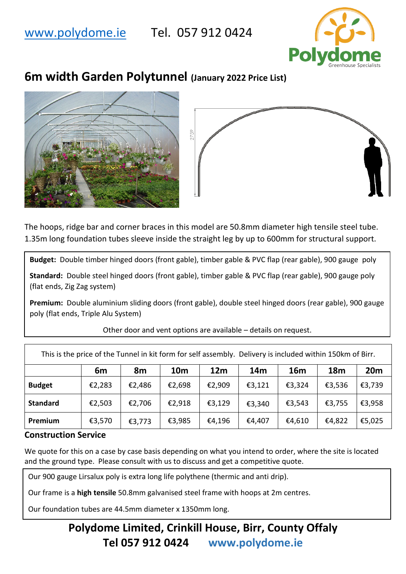## [www.polydome.ie](http://www.polydome.ie/) Tel. 057 912 0424



# **6m width Garden Polytunnel (January 2022 Price List)**





The hoops, ridge bar and corner braces in this model are 50.8mm diameter high tensile steel tube. 1.35m long foundation tubes sleeve inside the straight leg by up to 600mm for structural support.

**Budget:** Double timber hinged doors (front gable), timber gable & PVC flap (rear gable), 900 gauge poly

**Standard:** Double steel hinged doors (front gable), timber gable & PVC flap (rear gable), 900 gauge poly (flat ends, Zig Zag system)

**Premium:** Double aluminium sliding doors (front gable), double steel hinged doors (rear gable), 900 gauge poly (flat ends, Triple Alu System)

| This is the price of the Tunnel in kit form for self assembly. Delivery is included within 150km of Birr. |        |        |            |                 |                 |            |            |                 |  |  |  |  |  |
|-----------------------------------------------------------------------------------------------------------|--------|--------|------------|-----------------|-----------------|------------|------------|-----------------|--|--|--|--|--|
|                                                                                                           | 6m     | 8m     | <b>10m</b> | 12 <sub>m</sub> | 14 <sub>m</sub> | <b>16m</b> | <b>18m</b> | 20 <sub>m</sub> |  |  |  |  |  |
| <b>Budget</b>                                                                                             | €2,283 | €2,486 | €2,698     | €2,909          | €3,121          | €3,324     | €3,536     | €3,739          |  |  |  |  |  |
| <b>Standard</b>                                                                                           | €2,503 | €2,706 | €2,918     | €3,129          | €3,340          | €3,543     | €3,755     | €3,958          |  |  |  |  |  |
| Premium                                                                                                   | €3,570 | €3,773 | €3,985     | €4,196          | €4,407          | €4,610     | €4,822     | €5,025          |  |  |  |  |  |

Other door and vent options are available – details on request.

#### **Construction Service**

We quote for this on a case by case basis depending on what you intend to order, where the site is located and the ground type. Please consult with us to discuss and get a competitive quote.

Our 900 gauge Lirsalux poly is extra long life polythene (thermic and anti drip).

Our frame is a **high tensile** 50.8mm galvanised steel frame with hoops at 2m centres.

Our foundation tubes are 44.5mm diameter x 1350mm long.

## **Polydome Limited, Crinkill House, Birr, County Offaly Tel 057 912 0424 www.polydome.ie**